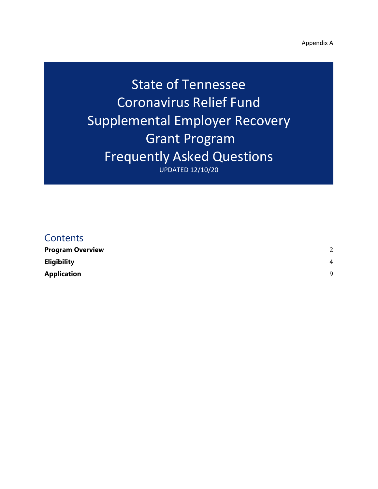Appendix A

State of Tennessee Coronavirus Relief Fund Supplemental Employer Recovery Grant Program Frequently Asked Questions UPDATED 12/10/20

# **Contents**

| <b>Program Overview</b> | 2        |
|-------------------------|----------|
| Eligibility             | 4        |
| Application             | $\Omega$ |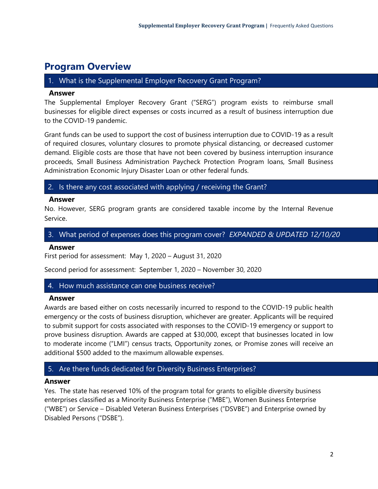# <span id="page-1-0"></span>**Program Overview**

# 1. What is the Supplemental Employer Recovery Grant Program?

#### **Answer**

The Supplemental Employer Recovery Grant ("SERG") program exists to reimburse small businesses for eligible direct expenses or costs incurred as a result of business interruption due to the COVID-19 pandemic.

Grant funds can be used to support the cost of business interruption due to COVID-19 as a result of required closures, voluntary closures to promote physical distancing, or decreased customer demand. Eligible costs are those that have not been covered by business interruption insurance proceeds, Small Business Administration Paycheck Protection Program loans, Small Business Administration Economic Injury Disaster Loan or other federal funds.

# 2. Is there any cost associated with applying / receiving the Grant?

# **Answer**

No. However, SERG program grants are considered taxable income by the Internal Revenue Service.

# 3. What period of expenses does this program cover? *EXPANDED & UPDATED 12/10/20*

#### **Answer**

First period for assessment: May 1, 2020 – August 31, 2020

Second period for assessment: September 1, 2020 – November 30, 2020

# 4. How much assistance can one business receive?

#### **Answer**

Awards are based either on costs necessarily incurred to respond to the COVID-19 public health emergency or the costs of business disruption, whichever are greater. Applicants will be required to submit support for costs associated with responses to the COVID-19 emergency or support to prove business disruption. Awards are capped at \$30,000, except that businesses located in low to moderate income ("LMI") census tracts, Opportunity zones, or Promise zones will receive an additional \$500 added to the maximum allowable expenses.

# 5. Are there funds dedicated for Diversity Business Enterprises?

# **Answer**

Yes. The state has reserved 10% of the program total for grants to eligible diversity business enterprises classified as a Minority Business Enterprise ("MBE"), Women Business Enterprise ("WBE") or Service – Disabled Veteran Business Enterprises ("DSVBE") and Enterprise owned by Disabled Persons ("DSBE").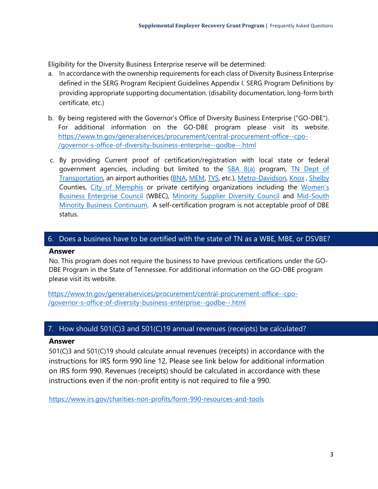Eligibility for the Diversity Business Enterprise reserve will be determined:

- a. In accordance with the ownership requirements for each class of Diversity Business Enterprise defined in the SERG Program Recipient Guidelines Appendix I. SERG Program Definitions by providing appropriate supporting documentation. (disability documentation, long-form birth certificate, etc.)
- b. By being registered with the Governor's Office of Diversity Business Enterprise ("GO-DBE"). For additional information on the GO-DBE program please visit its website. [https://www.tn.gov/generalservices/procurement/central-procurement-office--cpo-](https://www.tn.gov/generalservices/procurement/central-procurement-office--cpo-/governor-s-office-of-diversity-business-enterprise--godbe--.html) [/governor-s-office-of-diversity-business-enterprise--godbe--.html](https://www.tn.gov/generalservices/procurement/central-procurement-office--cpo-/governor-s-office-of-diversity-business-enterprise--godbe--.html)
- c. By providing Current proof of certification/registration with local state or federal government agencies, including but limited to the **[SBA 8\(a\)](https://www.sba.gov/federal-contracting/contracting-assistance-programs/8a-business-development-program)** program, TN Dept of [Transportation,](https://www.tn.gov/tdot/tdot-construction-division/const-div-main-lnav-civil-rights_rd.html) an airport authorities [\(BNA,](https://flynashville.com/nashville-airport-authority/business-opportunities/business-diversity-development#BusinessTakingOff) [MEM,](https://www.flymemphis.com/disadvantaged-business-enterprise-program) [TYS,](https://flyknoxville.com/business-at-tys/) etc.), [Metro-Davidson,](https://www.nashville.gov/Finance/Procurement/Business-Assistance-Office.aspx) [Knox](https://www.knoxcounty.org/businessoutreach/) , [Shelby](https://www.shelbycountytn.gov/320/LOSB-and-MWBE-Programs) Counties, [City of Memphis](https://www.memphistn.gov/business/certification/) or private certifying organizations including the Women's [Business Enterprise Council](https://www.wbenc.org/) (WBEC), [Minority Supplier Diversity Council](https://tsmsdc.com/) and [Mid-South](https://www.mmbc-memphis.org/)  [Minority Business Continuum.](https://www.mmbc-memphis.org/) A self-certification program is not acceptable proof of DBE status.

# 6. Does a business have to be certified with the state of TN as a WBE, MBE, or DSVBE?

# **Answer**

No. This program does not require the business to have previous certifications under the GO-DBE Program in the State of Tennessee. For additional information on the GO-DBE program please visit its website.

[https://www.tn.gov/generalservices/procurement/central-procurement-office--cpo-](https://www.tn.gov/generalservices/procurement/central-procurement-office--cpo-/governor-s-office-of-diversity-business-enterprise--godbe--.html) [/governor-s-office-of-diversity-business-enterprise--godbe--.html](https://www.tn.gov/generalservices/procurement/central-procurement-office--cpo-/governor-s-office-of-diversity-business-enterprise--godbe--.html)

# 7. How should 501(C)3 and 501(C)19 annual revenues (receipts) be calculated?

# **Answer**

501(C)3 and 501(C)19 should calculate annual revenues (receipts) in accordance with the instructions for IRS form 990 line 12. Please see link below for additional information on IRS form 990. Revenues (receipts) should be calculated in accordance with these instructions even if the non-profit entity is not required to file a 990.

<https://www.irs.gov/charities-non-profits/form-990-resources-and-tools>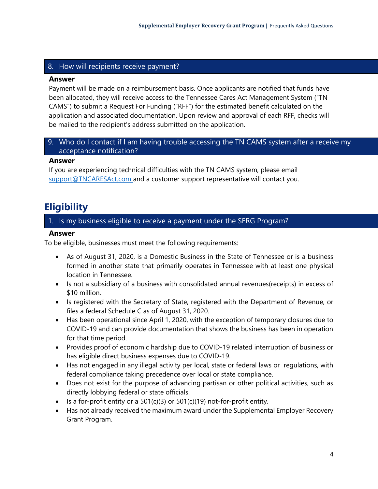# 8. How will recipients receive payment?

#### **Answer**

Payment will be made on a reimbursement basis. Once applicants are notified that funds have been allocated, they will receive access to the Tennessee Cares Act Management System ("TN CAMS") to submit a Request For Funding ("RFF") for the estimated benefit calculated on the application and associated documentation. Upon review and approval of each RFF, checks will be mailed to the recipient's address submitted on the application.

# 9. Who do I contact if I am having trouble accessing the TN CAMS system after a receive my acceptance notification?

#### **Answer**

If you are experiencing technical difficulties with the TN CAMS system, please email [support@TNCARESAct.com](mailto:support@TNCARESAct.com) and a customer support representative will contact you.

# <span id="page-3-0"></span>**Eligibility**

# 1. Is my business eligible to receive a payment under the SERG Program?

#### **Answer**

To be eligible, businesses must meet the following requirements:

- As of August 31, 2020, is a Domestic Business in the State of Tennessee or is a business formed in another state that primarily operates in Tennessee with at least one physical location in Tennessee.
- Is not a subsidiary of a business with consolidated annual revenues(receipts) in excess of \$10 million.
- Is registered with the Secretary of State, registered with the Department of Revenue, or files a federal Schedule C as of August 31, 2020.
- Has been operational since April 1, 2020, with the exception of temporary closures due to COVID-19 and can provide documentation that shows the business has been in operation for that time period.
- Provides proof of economic hardship due to COVID-19 related interruption of business or has eligible direct business expenses due to COVID-19.
- Has not engaged in any illegal activity per local, state or federal laws or regulations, with federal compliance taking precedence over local or state compliance.
- Does not exist for the purpose of advancing partisan or other political activities, such as directly lobbying federal or state officials.
- Is a for-profit entity or a  $501(c)(3)$  or  $501(c)(19)$  not-for-profit entity.
- Has not already received the maximum award under the Supplemental Employer Recovery Grant Program.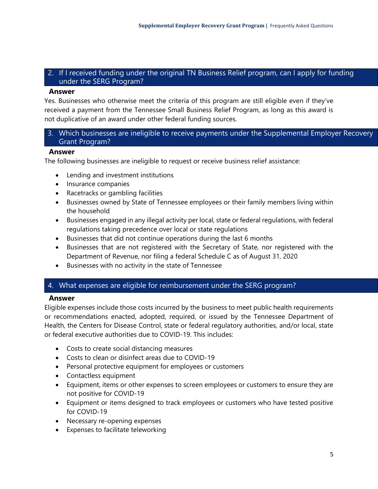# 2. If I received funding under the original TN Business Relief program, can I apply for funding under the SERG Program?

## **Answer**

Yes. Businesses who otherwise meet the criteria of this program are still eligible even if they've received a payment from the Tennessee Small Business Relief Program, as long as this award is not duplicative of an award under other federal funding sources.

# 3. Which businesses are ineligible to receive payments under the Supplemental Employer Recovery Grant Program?

#### **Answer**

The following businesses are ineligible to request or receive business relief assistance:

- Lending and investment institutions
- Insurance companies
- Racetracks or gambling facilities
- Businesses owned by State of Tennessee employees or their family members living within the household
- Businesses engaged in any illegal activity per local, state or federal regulations, with federal regulations taking precedence over local or state regulations
- Businesses that did not continue operations during the last 6 months
- Businesses that are not registered with the Secretary of State, nor registered with the Department of Revenue, nor filing a federal Schedule C as of August 31, 2020
- Businesses with no activity in the state of Tennessee

#### 4. What expenses are eligible for reimbursement under the SERG program?

#### **Answer**

Eligible expenses include those costs incurred by the business to meet public health requirements or recommendations enacted, adopted, required, or issued by the Tennessee Department of Health, the Centers for Disease Control, state or federal regulatory authorities, and/or local, state or federal executive authorities due to COVID-19. This includes:

- Costs to create social distancing measures
- Costs to clean or disinfect areas due to COVID-19
- Personal protective equipment for employees or customers
- Contactless equipment
- Equipment, items or other expenses to screen employees or customers to ensure they are not positive for COVID-19
- Equipment or items designed to track employees or customers who have tested positive for COVID-19
- Necessary re-opening expenses
- Expenses to facilitate teleworking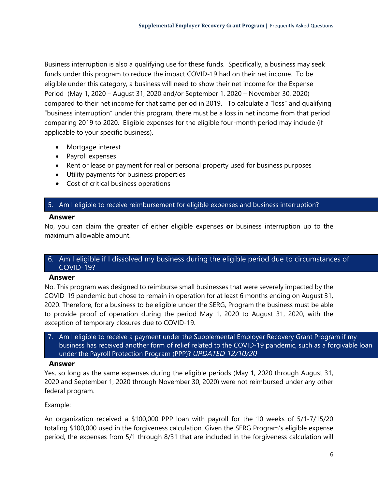Business interruption is also a qualifying use for these funds. Specifically, a business may seek funds under this program to reduce the impact COVID-19 had on their net income. To be eligible under this category, a business will need to show their net income for the Expense Period (May 1, 2020 – August 31, 2020 and/or September 1, 2020 – November 30, 2020) compared to their net income for that same period in 2019. To calculate a "loss" and qualifying "business interruption" under this program, there must be a loss in net income from that period comparing 2019 to 2020. Eligible expenses for the eligible four-month period may include (if applicable to your specific business).

- Mortgage interest
- Payroll expenses
- Rent or lease or payment for real or personal property used for business purposes
- Utility payments for business properties
- Cost of critical business operations

#### 5. Am I eligible to receive reimbursement for eligible expenses and business interruption?

#### **Answer**

No, you can claim the greater of either eligible expenses **or** business interruption up to the maximum allowable amount.

# 6. Am I eligible if I dissolved my business during the eligible period due to circumstances of COVID-19?

#### **Answer**

No. This program was designed to reimburse small businesses that were severely impacted by the COVID-19 pandemic but chose to remain in operation for at least 6 months ending on August 31, 2020. Therefore, for a business to be eligible under the SERG, Program the business must be able to provide proof of operation during the period May 1, 2020 to August 31, 2020, with the exception of temporary closures due to COVID-19.

7. Am I eligible to receive a payment under the Supplemental Employer Recovery Grant Program if my business has received another form of relief related to the COVID-19 pandemic, such as a forgivable loan under the Payroll Protection Program (PPP)? *UPDATED 12/10/20*

#### **Answer**

Yes, so long as the same expenses during the eligible periods (May 1, 2020 through August 31, 2020 and September 1, 2020 through November 30, 2020) were not reimbursed under any other federal program.

#### Example:

An organization received a \$100,000 PPP loan with payroll for the 10 weeks of 5/1-7/15/20 totaling \$100,000 used in the forgiveness calculation. Given the SERG Program's eligible expense period, the expenses from 5/1 through 8/31 that are included in the forgiveness calculation will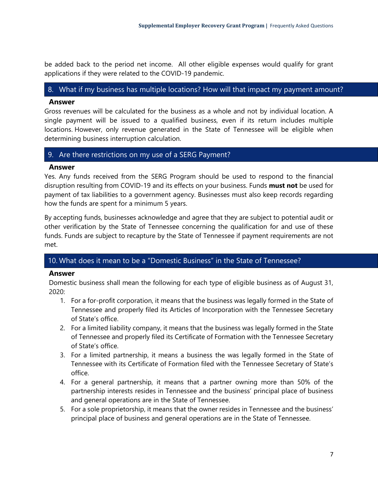be added back to the period net income. All other eligible expenses would qualify for grant applications if they were related to the COVID-19 pandemic.

#### 8. What if my business has multiple locations? How will that impact my payment amount?

#### **Answer**

Gross revenues will be calculated for the business as a whole and not by individual location. A single payment will be issued to a qualified business, even if its return includes multiple locations. However, only revenue generated in the State of Tennessee will be eligible when determining business interruption calculation.

# 9. Are there restrictions on my use of a SERG Payment?

# **Answer**

Yes. Any funds received from the SERG Program should be used to respond to the financial disruption resulting from COVID-19 and its effects on your business. Funds **must not** be used for payment of tax liabilities to a government agency. Businesses must also keep records regarding how the funds are spent for a minimum 5 years.

By accepting funds, businesses acknowledge and agree that they are subject to potential audit or other verification by the State of Tennessee concerning the qualification for and use of these funds. Funds are subject to recapture by the State of Tennessee if payment requirements are not met.

# 10. What does it mean to be a "Domestic Business" in the State of Tennessee?

#### **Answer**

Domestic business shall mean the following for each type of eligible business as of August 31, 2020:

- 1. For a for-profit corporation, it means that the business was legally formed in the State of Tennessee and properly filed its Articles of Incorporation with the Tennessee Secretary of State's office.
- 2. For a limited liability company, it means that the business was legally formed in the State of Tennessee and properly filed its Certificate of Formation with the Tennessee Secretary of State's office.
- 3. For a limited partnership, it means a business the was legally formed in the State of Tennessee with its Certificate of Formation filed with the Tennessee Secretary of State's office.
- 4. For a general partnership, it means that a partner owning more than 50% of the partnership interests resides in Tennessee and the business' principal place of business and general operations are in the State of Tennessee.
- 5. For a sole proprietorship, it means that the owner resides in Tennessee and the business' principal place of business and general operations are in the State of Tennessee.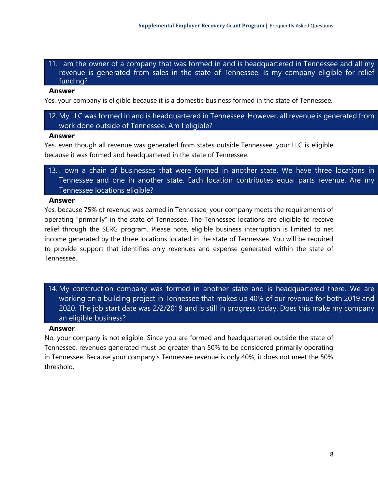11. I am the owner of a company that was formed in and is headquartered in Tennessee and all my revenue is generated from sales in the state of Tennessee. Is my company eligible for relief funding?

#### **Answer**

Yes, your company is eligible because it is a domestic business formed in the state of Tennessee.

12. My LLC was formed in and is headquartered in Tennessee. However, all revenue is generated from work done outside of Tennessee. Am I eligible?

#### **Answer**

Yes, even though all revenue was generated from states outside Tennessee, your LLC is eligible because it was formed and headquartered in the state of Tennessee.

13. I own a chain of businesses that were formed in another state. We have three locations in Tennessee and one in another state. Each location contributes equal parts revenue. Are my Tennessee locations eligible?

#### **Answer**

Yes, because 75% of revenue was earned in Tennessee, your company meets the requirements of operating "primarily" in the state of Tennessee. The Tennessee locations are eligible to receive relief through the SERG program. Please note, eligible business interruption is limited to net income generated by the three locations located in the state of Tennessee. You will be required to provide support that identifies only revenues and expense generated within the state of Tennessee.

14. My construction company was formed in another state and is headquartered there. We are working on a building project in Tennessee that makes up 40% of our revenue for both 2019 and 2020. The job start date was 2/2/2019 and is still in progress today. Does this make my company an eligible business?

#### **Answer**

No, your company is not eligible. Since you are formed and headquartered outside the state of Tennessee, revenues generated must be greater than 50% to be considered primarily operating in Tennessee. Because your company's Tennessee revenue is only 40%, it does not meet the 50% threshold.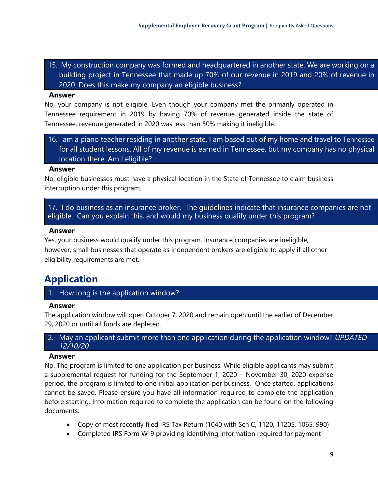15. My construction company was formed and headquartered in another state. We are working on a building project in Tennessee that made up 70% of our revenue in 2019 and 20% of revenue in 2020. Does this make my company an eligible business?

## **Answer**

No, your company is not eligible. Even though your company met the primarily operated in Tennessee requirement in 2019 by having 70% of revenue generated inside the state of Tennessee, revenue generated in 2020 was less than 50% making it ineligible.

16. I am a piano teacher residing in another state. I am based out of my home and travel to Tennessee for all student lessons. All of my revenue is earned in Tennessee, but my company has no physical location there. Am I eligible?

#### **Answer**

No, eligible businesses must have a physical location in the State of Tennessee to claim business interruption under this program.

17. I do business as an insurance broker. The guidelines indicate that insurance companies are not eligible. Can you explain this, and would my business qualify under this program?

#### **Answer**

Yes, your business would qualify under this program. Insurance companies are ineligible; however, small businesses that operate as independent brokers are eligible to apply if all other eligibility requirements are met.

# <span id="page-8-0"></span>**Application**

1. How long is the application window?

#### **Answer**

The application window will open October 7, 2020 and remain open until the earlier of December 29, 2020 or until all funds are depleted.

# 2. May an applicant submit more than one application during the application window? *UPDATED 12/10/20*

# **Answer**

No. The program is limited to one application per business. While eligible applicants may submit a supplemental request for funding for the September 1, 2020 – November 30, 2020 expense period, the program is limited to one initial application per business. Once started, applications cannot be saved. Please ensure you have all information required to complete the application before starting. Information required to complete the application can be found on the following documents:

- Copy of most recently filed IRS Tax Return (1040 with Sch C, 1120, 1120S, 1065, 990)
- Completed IRS Form W-9 providing identifying information required for payment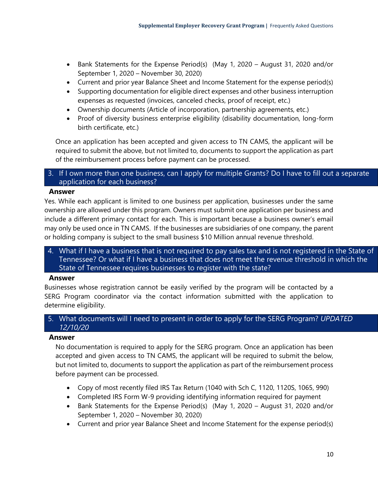- Bank Statements for the Expense Period(s) (May 1, 2020 August 31, 2020 and/or September 1, 2020 – November 30, 2020)
- Current and prior year Balance Sheet and Income Statement for the expense period(s)
- Supporting documentation for eligible direct expenses and other business interruption expenses as requested (invoices, canceled checks, proof of receipt, etc.)
- Ownership documents (Article of incorporation, partnership agreements, etc.)
- Proof of diversity business enterprise eligibility (disability documentation, long-form birth certificate, etc.)

Once an application has been accepted and given access to TN CAMS, the applicant will be required to submit the above, but not limited to, documents to support the application as part of the reimbursement process before payment can be processed.

# 3. If I own more than one business, can I apply for multiple Grants? Do I have to fill out a separate application for each business?

#### **Answer**

Yes. While each applicant is limited to one business per application, businesses under the same ownership are allowed under this program. Owners must submit one application per business and include a different primary contact for each. This is important because a business owner's email may only be used once in TN CAMS. If the businesses are subsidiaries of one company, the parent or holding company is subject to the small business \$10 Million annual revenue threshold.

4. What if I have a business that is not required to pay sales tax and is not registered in the State of Tennessee? Or what if I have a business that does not meet the revenue threshold in which the State of Tennessee requires businesses to register with the state?

#### **Answer**

Businesses whose registration cannot be easily verified by the program will be contacted by a SERG Program coordinator via the contact information submitted with the application to determine eligibility.

# 5. What documents will I need to present in order to apply for the SERG Program? *UPDATED 12/10/20*

#### **Answer**

No documentation is required to apply for the SERG program. Once an application has been accepted and given access to TN CAMS, the applicant will be required to submit the below, but not limited to, documents to support the application as part of the reimbursement process before payment can be processed.

- Copy of most recently filed IRS Tax Return (1040 with Sch C, 1120, 1120S, 1065, 990)
- Completed IRS Form W-9 providing identifying information required for payment
- Bank Statements for the Expense Period(s) (May 1, 2020 August 31, 2020 and/or September 1, 2020 – November 30, 2020)
- Current and prior year Balance Sheet and Income Statement for the expense period(s)